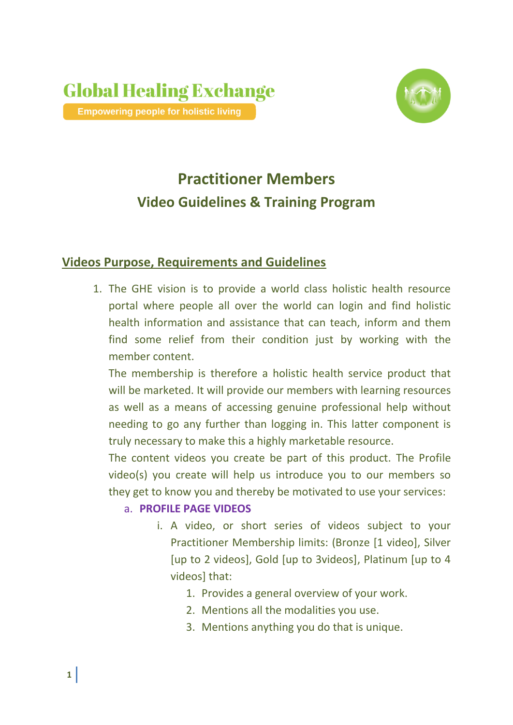

# **Practitioner Members Video Guidelines & Training Program**

# **Videos Purpose, Requirements and Guidelines**

1. The GHE vision is to provide a world class holistic health resource portal where people all over the world can login and find holistic health information and assistance that can teach, inform and them find some relief from their condition just by working with the member content.

The membership is therefore a holistic health service product that will be marketed. It will provide our members with learning resources as well as a means of accessing genuine professional help without needing to go any further than logging in. This latter component is truly necessary to make this a highly marketable resource.

The content videos you create be part of this product. The Profile video(s) you create will help us introduce you to our members so they get to know you and thereby be motivated to use your services:

## a. **PROFILE PAGE VIDEOS**

- i. A video, or short series of videos subject to your Practitioner Membership limits: (Bronze [1 video], Silver [up to 2 videos], Gold [up to 3videos], Platinum [up to 4 videos] that:
	- 1. Provides a general overview of your work.
	- 2. Mentions all the modalities you use.
	- 3. Mentions anything you do that is unique.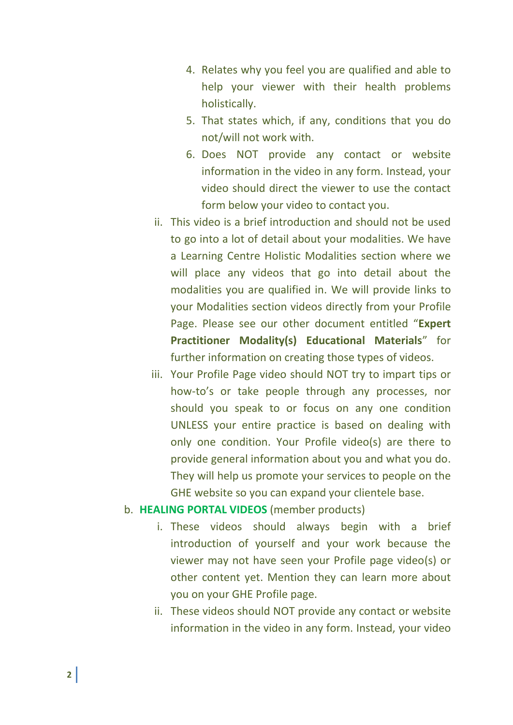- 4. Relates why you feel you are qualified and able to help your viewer with their health problems holistically.
- 5. That states which, if any, conditions that you do not/will not work with.
- 6. Does NOT provide any contact or website information in the video in any form. Instead, your video should direct the viewer to use the contact form below your video to contact you.
- ii. This video is a brief introduction and should not be used to go into a lot of detail about your modalities. We have a Learning Centre Holistic Modalities section where we will place any videos that go into detail about the modalities you are qualified in. We will provide links to your Modalities section videos directly from your Profile Page. Please see our other document entitled "**Expert Practitioner Modality(s) Educational Materials**" for further information on creating those types of videos.
- iii. Your Profile Page video should NOT try to impart tips or how-to's or take people through any processes, nor should you speak to or focus on any one condition UNLESS your entire practice is based on dealing with only one condition. Your Profile video(s) are there to provide general information about you and what you do. They will help us promote your services to people on the GHE website so you can expand your clientele base.

#### b. **HEALING PORTAL VIDEOS** (member products)

- i. These videos should always begin with a brief introduction of yourself and your work because the viewer may not have seen your Profile page video(s) or other content yet. Mention they can learn more about you on your GHE Profile page.
- ii. These videos should NOT provide any contact or website information in the video in any form. Instead, your video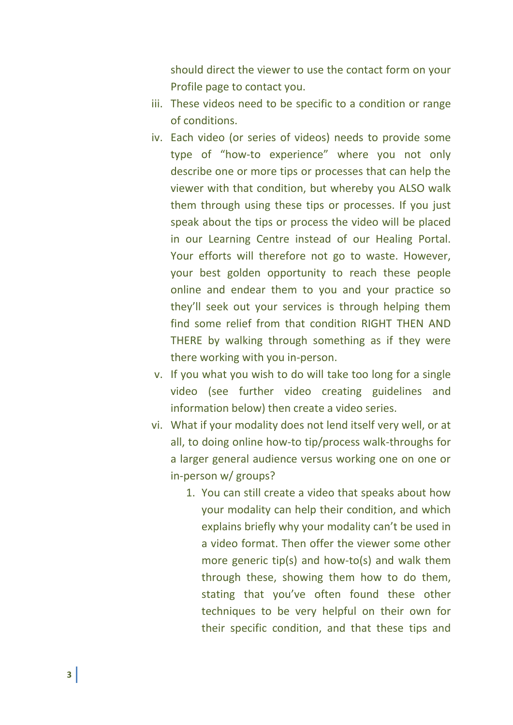should direct the viewer to use the contact form on your Profile page to contact you.

- iii. These videos need to be specific to a condition or range of conditions.
- iv. Each video (or series of videos) needs to provide some type of "how-to experience" where you not only describe one or more tips or processes that can help the viewer with that condition, but whereby you ALSO walk them through using these tips or processes. If you just speak about the tips or process the video will be placed in our Learning Centre instead of our Healing Portal. Your efforts will therefore not go to waste. However, your best golden opportunity to reach these people online and endear them to you and your practice so they'll seek out your services is through helping them find some relief from that condition RIGHT THEN AND THERE by walking through something as if they were there working with you in-person.
- v. If you what you wish to do will take too long for a single video (see further video creating guidelines and information below) then create a video series.
- vi. What if your modality does not lend itself very well, or at all, to doing online how-to tip/process walk-throughs for a larger general audience versus working one on one or in-person w/ groups?
	- 1. You can still create a video that speaks about how your modality can help their condition, and which explains briefly why your modality can't be used in a video format. Then offer the viewer some other more generic tip(s) and how-to(s) and walk them through these, showing them how to do them, stating that you've often found these other techniques to be very helpful on their own for their specific condition, and that these tips and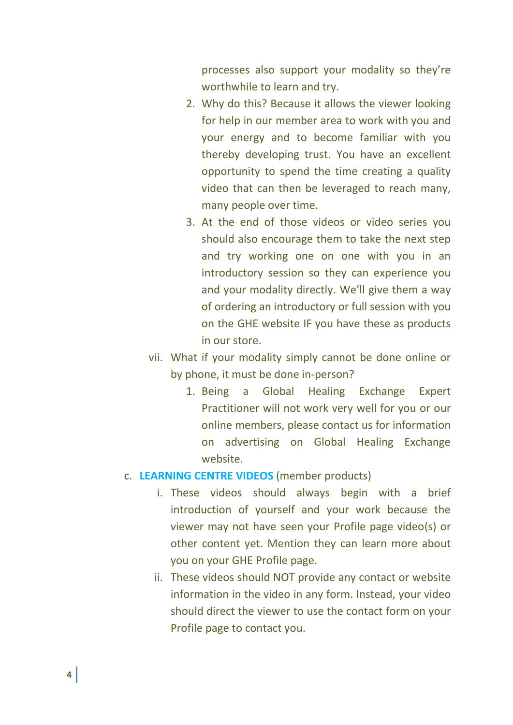processes also support your modality so they're worthwhile to learn and try.

- 2. Why do this? Because it allows the viewer looking for help in our member area to work with you and your energy and to become familiar with you thereby developing trust. You have an excellent opportunity to spend the time creating a quality video that can then be leveraged to reach many, many people over time.
- 3. At the end of those videos or video series you should also encourage them to take the next step and try working one on one with you in an introductory session so they can experience you and your modality directly. We'll give them a way of ordering an introductory or full session with you on the GHE website IF you have these as products in our store.
- vii. What if your modality simply cannot be done online or by phone, it must be done in-person?
	- 1. Being a Global Healing Exchange Expert Practitioner will not work very well for you or our online members, please contact us for information on advertising on Global Healing Exchange website.

## c. **LEARNING CENTRE VIDEOS** (member products)

- i. These videos should always begin with a brief introduction of yourself and your work because the viewer may not have seen your Profile page video(s) or other content yet. Mention they can learn more about you on your GHE Profile page.
- ii. These videos should NOT provide any contact or website information in the video in any form. Instead, your video should direct the viewer to use the contact form on your Profile page to contact you.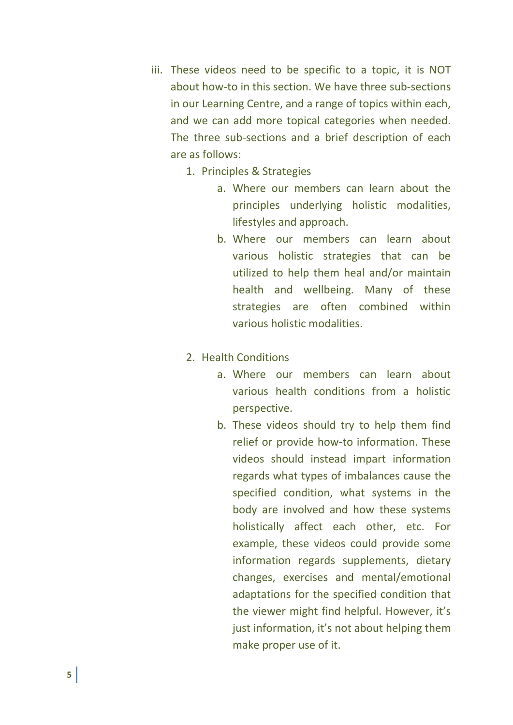- iii. These videos need to be specific to a topic, it is NOT about how-to in this section. We have three sub-sections in our Learning Centre, and a range of topics within each, and we can add more topical categories when needed. The three sub-sections and a brief description of each are as follows:
	- 1. Principles & Strategies
		- a. Where our members can learn about the principles underlying holistic modalities, lifestyles and approach.
		- b. Where our members can learn about various holistic strategies that can be utilized to help them heal and/or maintain health and wellbeing. Many of these strategies are often combined within various holistic modalities.
	- 2. Health Conditions
		- a. Where our members can learn about various health conditions from a holistic perspective.
		- b. These videos should try to help them find relief or provide how-to information. These videos should instead impart information regards what types of imbalances cause the specified condition, what systems in the body are involved and how these systems holistically affect each other, etc. For example, these videos could provide some information regards supplements, dietary changes, exercises and mental/emotional adaptations for the specified condition that the viewer might find helpful. However, it's just information, it's not about helping them make proper use of it.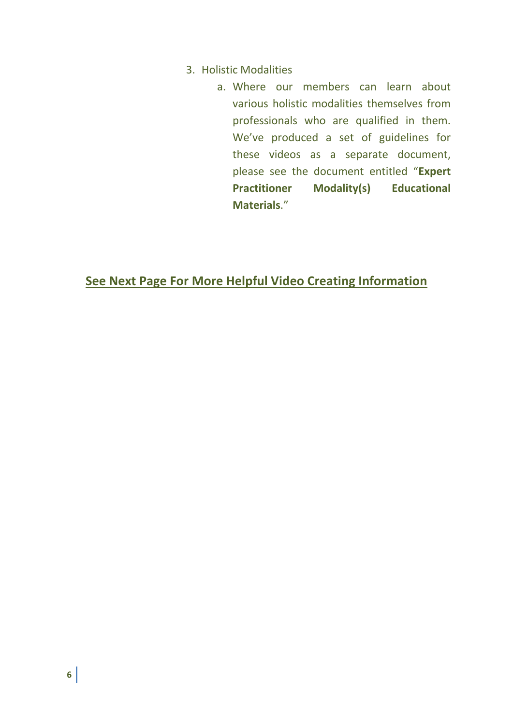- 3. Holistic Modalities
	- a. Where our members can learn about various holistic modalities themselves from professionals who are qualified in them. We've produced a set of guidelines for these videos as a separate document, please see the document entitled "**Expert Practitioner Modality(s) Educational Materials**."

**See Next Page For More Helpful Video Creating Information**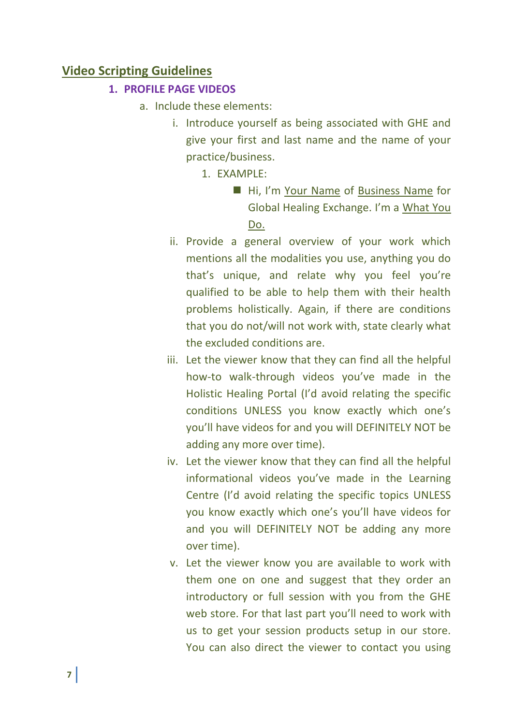## **Video Scripting Guidelines**

#### **1. PROFILE PAGE VIDEOS**

- a. Include these elements:
	- i. Introduce yourself as being associated with GHE and give your first and last name and the name of your practice/business.
		- 1. EXAMPLE:
			- Hi, I'm Your Name of Business Name for Global Healing Exchange. I'm a What You Do.
	- ii. Provide a general overview of your work which mentions all the modalities you use, anything you do that's unique, and relate why you feel you're qualified to be able to help them with their health problems holistically. Again, if there are conditions that you do not/will not work with, state clearly what the excluded conditions are.
	- iii. Let the viewer know that they can find all the helpful how-to walk-through videos you've made in the Holistic Healing Portal (I'd avoid relating the specific conditions UNLESS you know exactly which one's you'll have videos for and you will DEFINITELY NOT be adding any more over time).
	- iv. Let the viewer know that they can find all the helpful informational videos you've made in the Learning Centre (I'd avoid relating the specific topics UNLESS you know exactly which one's you'll have videos for and you will DEFINITELY NOT be adding any more over time).
	- v. Let the viewer know you are available to work with them one on one and suggest that they order an introductory or full session with you from the GHE web store. For that last part you'll need to work with us to get your session products setup in our store. You can also direct the viewer to contact you using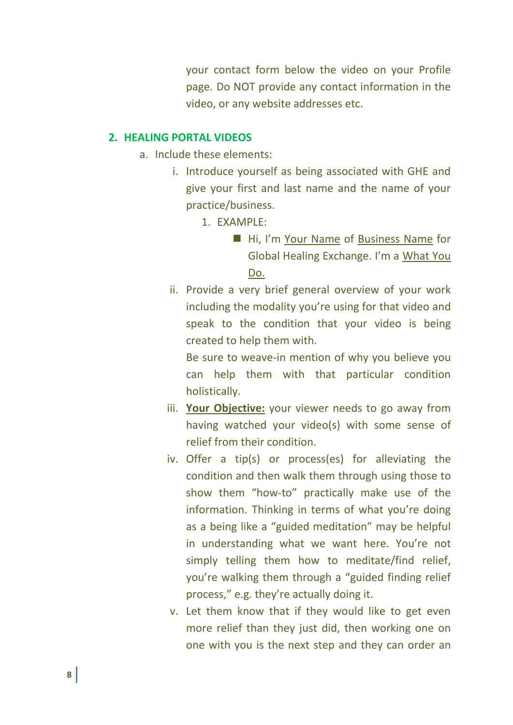your contact form below the video on your Profile page. Do NOT provide any contact information in the video, or any website addresses etc.

#### **2. HEALING PORTAL VIDEOS**

- a. Include these elements:
	- i. Introduce yourself as being associated with GHE and give your first and last name and the name of your practice/business.
		- 1. EXAMPLE:
			- Hi, I'm Your Name of Business Name for Global Healing Exchange. I'm a What You Do.
	- ii. Provide a very brief general overview of your work including the modality you're using for that video and speak to the condition that your video is being created to help them with.

Be sure to weave-in mention of why you believe you can help them with that particular condition holistically.

- iii. **Your Objective:** your viewer needs to go away from having watched your video(s) with some sense of relief from their condition.
- iv. Offer a tip(s) or process(es) for alleviating the condition and then walk them through using those to show them "how-to" practically make use of the information. Thinking in terms of what you're doing as a being like a "guided meditation" may be helpful in understanding what we want here. You're not simply telling them how to meditate/find relief, you're walking them through a "guided finding relief process," e.g. they're actually doing it.
- v. Let them know that if they would like to get even more relief than they just did, then working one on one with you is the next step and they can order an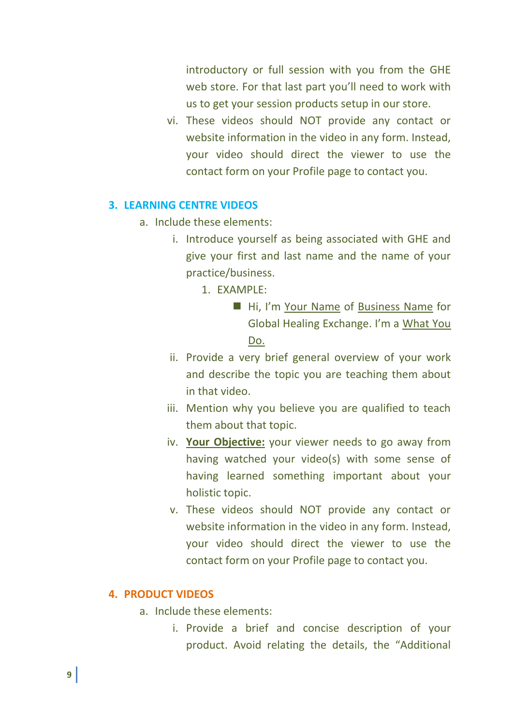introductory or full session with you from the GHE web store. For that last part you'll need to work with us to get your session products setup in our store.

vi. These videos should NOT provide any contact or website information in the video in any form. Instead, your video should direct the viewer to use the contact form on your Profile page to contact you.

## **3. LEARNING CENTRE VIDEOS**

- a. Include these elements:
	- i. Introduce yourself as being associated with GHE and give your first and last name and the name of your practice/business.
		- 1. EXAMPLE:
			- Hi, I'm Your Name of Business Name for Global Healing Exchange. I'm a What You Do.
	- ii. Provide a very brief general overview of your work and describe the topic you are teaching them about in that video.
	- iii. Mention why you believe you are qualified to teach them about that topic.
	- iv. **Your Objective:** your viewer needs to go away from having watched your video(s) with some sense of having learned something important about your holistic topic.
	- v. These videos should NOT provide any contact or website information in the video in any form. Instead, your video should direct the viewer to use the contact form on your Profile page to contact you.

## **4. PRODUCT VIDEOS**

- a. Include these elements:
	- i. Provide a brief and concise description of your product. Avoid relating the details, the "Additional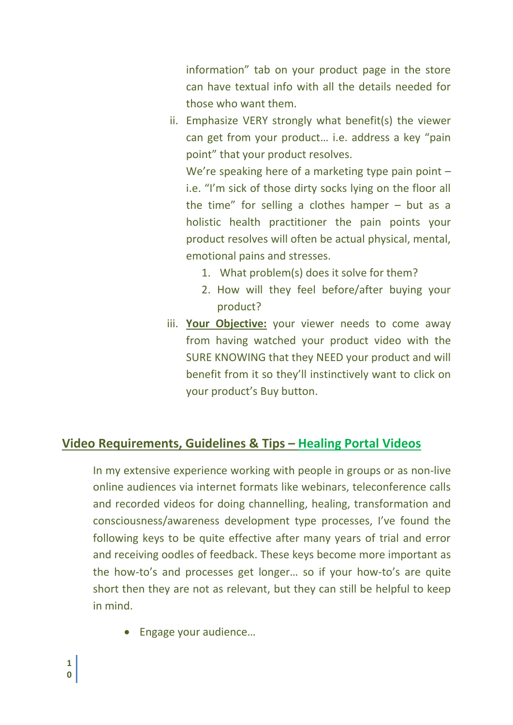information" tab on your product page in the store can have textual info with all the details needed for those who want them.

ii. Emphasize VERY strongly what benefit(s) the viewer can get from your product… i.e. address a key "pain point" that your product resolves.

We're speaking here of a marketing type pain point i.e. "I'm sick of those dirty socks lying on the floor all the time" for selling a clothes hamper – but as a holistic health practitioner the pain points your product resolves will often be actual physical, mental, emotional pains and stresses.

- 1. What problem(s) does it solve for them?
- 2. How will they feel before/after buying your product?
- iii. **Your Objective:** your viewer needs to come away from having watched your product video with the SURE KNOWING that they NEED your product and will benefit from it so they'll instinctively want to click on your product's Buy button.

# **Video Requirements, Guidelines & Tips – Healing Portal Videos**

In my extensive experience working with people in groups or as non-live online audiences via internet formats like webinars, teleconference calls and recorded videos for doing channelling, healing, transformation and consciousness/awareness development type processes, I've found the following keys to be quite effective after many years of trial and error and receiving oodles of feedback. These keys become more important as the how-to's and processes get longer… so if your how-to's are quite short then they are not as relevant, but they can still be helpful to keep in mind.

Engage your audience…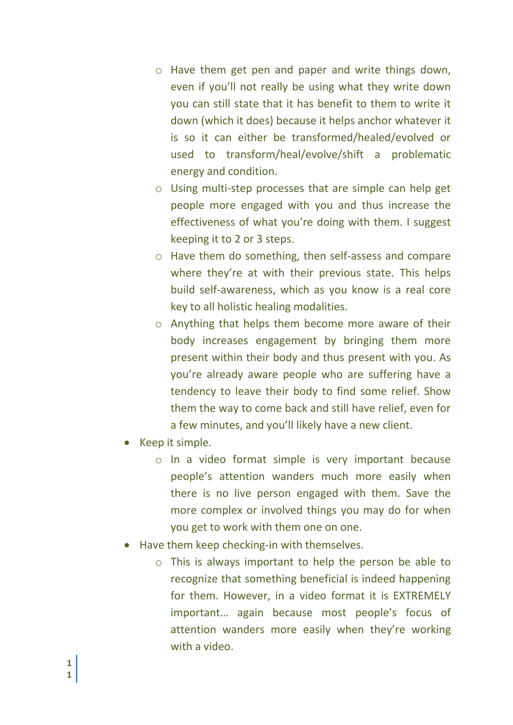- o Have them get pen and paper and write things down, even if you'll not really be using what they write down you can still state that it has benefit to them to write it down (which it does) because it helps anchor whatever it is so it can either be transformed/healed/evolved or used to transform/heal/evolve/shift a problematic energy and condition.
- o Using multi-step processes that are simple can help get people more engaged with you and thus increase the effectiveness of what you're doing with them. I suggest keeping it to 2 or 3 steps.
- o Have them do something, then self-assess and compare where they're at with their previous state. This helps build self-awareness, which as you know is a real core key to all holistic healing modalities.
- o Anything that helps them become more aware of their body increases engagement by bringing them more present within their body and thus present with you. As you're already aware people who are suffering have a tendency to leave their body to find some relief. Show them the way to come back and still have relief, even for a few minutes, and you'll likely have a new client.
- Keep it simple.
	- o In a video format simple is very important because people's attention wanders much more easily when there is no live person engaged with them. Save the more complex or involved things you may do for when you get to work with them one on one.
- Have them keep checking-in with themselves.
	- o This is always important to help the person be able to recognize that something beneficial is indeed happening for them. However, in a video format it is EXTREMELY important… again because most people's focus of attention wanders more easily when they're working with a video.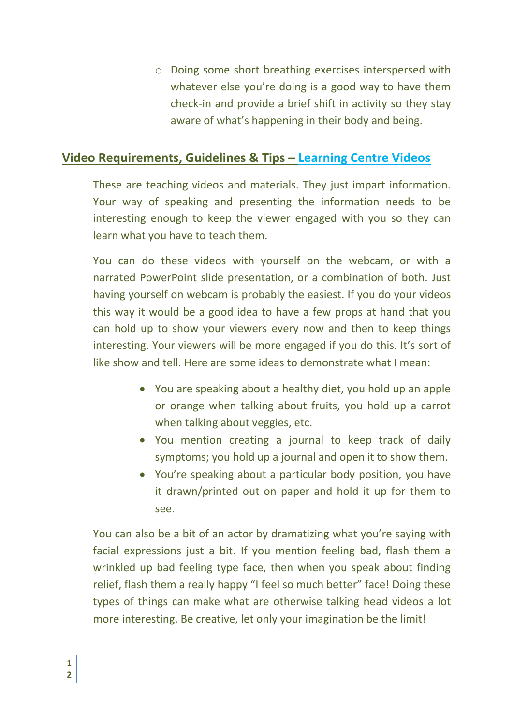o Doing some short breathing exercises interspersed with whatever else you're doing is a good way to have them check-in and provide a brief shift in activity so they stay aware of what's happening in their body and being.

## **Video Requirements, Guidelines & Tips – Learning Centre Videos**

These are teaching videos and materials. They just impart information. Your way of speaking and presenting the information needs to be interesting enough to keep the viewer engaged with you so they can learn what you have to teach them.

You can do these videos with yourself on the webcam, or with a narrated PowerPoint slide presentation, or a combination of both. Just having yourself on webcam is probably the easiest. If you do your videos this way it would be a good idea to have a few props at hand that you can hold up to show your viewers every now and then to keep things interesting. Your viewers will be more engaged if you do this. It's sort of like show and tell. Here are some ideas to demonstrate what I mean:

- You are speaking about a healthy diet, you hold up an apple or orange when talking about fruits, you hold up a carrot when talking about veggies, etc.
- You mention creating a journal to keep track of daily symptoms; you hold up a journal and open it to show them.
- You're speaking about a particular body position, you have it drawn/printed out on paper and hold it up for them to see.

You can also be a bit of an actor by dramatizing what you're saying with facial expressions just a bit. If you mention feeling bad, flash them a wrinkled up bad feeling type face, then when you speak about finding relief, flash them a really happy "I feel so much better" face! Doing these types of things can make what are otherwise talking head videos a lot more interesting. Be creative, let only your imagination be the limit!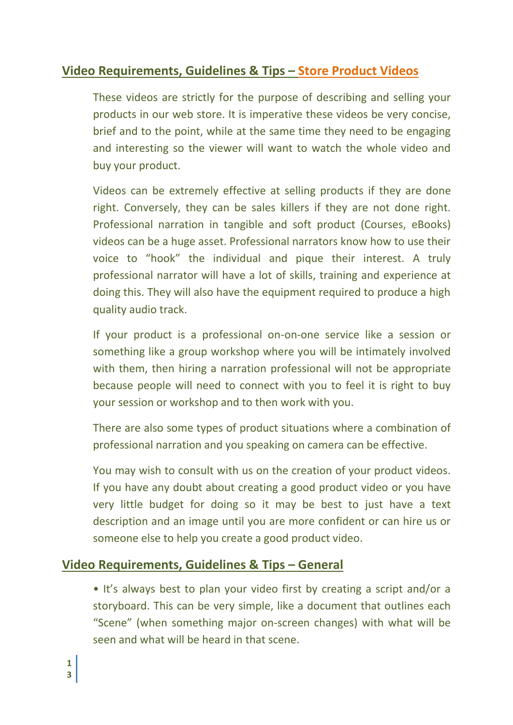# **Video Requirements, Guidelines & Tips – Store Product Videos**

These videos are strictly for the purpose of describing and selling your products in our web store. It is imperative these videos be very concise, brief and to the point, while at the same time they need to be engaging and interesting so the viewer will want to watch the whole video and buy your product.

Videos can be extremely effective at selling products if they are done right. Conversely, they can be sales killers if they are not done right. Professional narration in tangible and soft product (Courses, eBooks) videos can be a huge asset. Professional narrators know how to use their voice to "hook" the individual and pique their interest. A truly professional narrator will have a lot of skills, training and experience at doing this. They will also have the equipment required to produce a high quality audio track.

If your product is a professional on-on-one service like a session or something like a group workshop where you will be intimately involved with them, then hiring a narration professional will not be appropriate because people will need to connect with you to feel it is right to buy your session or workshop and to then work with you.

There are also some types of product situations where a combination of professional narration and you speaking on camera can be effective.

You may wish to consult with us on the creation of your product videos. If you have any doubt about creating a good product video or you have very little budget for doing so it may be best to just have a text description and an image until you are more confident or can hire us or someone else to help you create a good product video.

## **Video Requirements, Guidelines & Tips – General**

• It's always best to plan your video first by creating a script and/or a storyboard. This can be very simple, like a document that outlines each "Scene" (when something major on-screen changes) with what will be seen and what will be heard in that scene.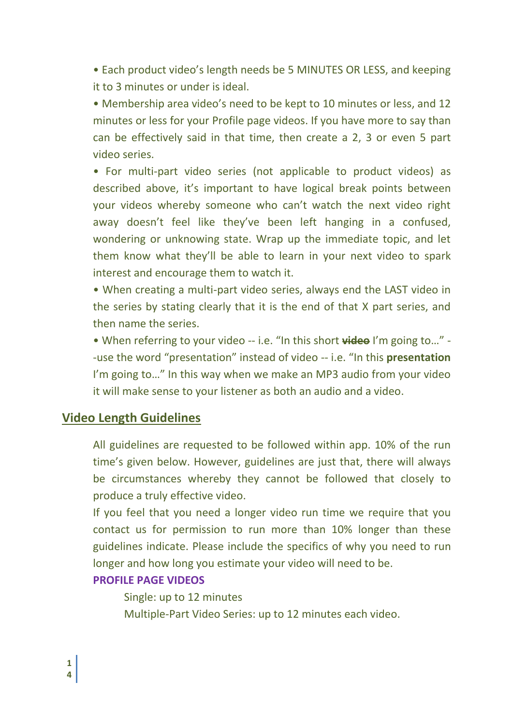• Each product video's length needs be 5 MINUTES OR LESS, and keeping it to 3 minutes or under is ideal.

• Membership area video's need to be kept to 10 minutes or less, and 12 minutes or less for your Profile page videos. If you have more to say than can be effectively said in that time, then create a 2, 3 or even 5 part video series.

• For multi-part video series (not applicable to product videos) as described above, it's important to have logical break points between your videos whereby someone who can't watch the next video right away doesn't feel like they've been left hanging in a confused, wondering or unknowing state. Wrap up the immediate topic, and let them know what they'll be able to learn in your next video to spark interest and encourage them to watch it.

• When creating a multi-part video series, always end the LAST video in the series by stating clearly that it is the end of that X part series, and then name the series.

• When referring to your video -- i.e. "In this short **video** I'm going to…" - -use the word "presentation" instead of video -- i.e. "In this **presentation** I'm going to…" In this way when we make an MP3 audio from your video it will make sense to your listener as both an audio and a video.

## **Video Length Guidelines**

All guidelines are requested to be followed within app. 10% of the run time's given below. However, guidelines are just that, there will always be circumstances whereby they cannot be followed that closely to produce a truly effective video.

If you feel that you need a longer video run time we require that you contact us for permission to run more than 10% longer than these guidelines indicate. Please include the specifics of why you need to run longer and how long you estimate your video will need to be.

## **PROFILE PAGE VIDEOS**

Single: up to 12 minutes Multiple-Part Video Series: up to 12 minutes each video.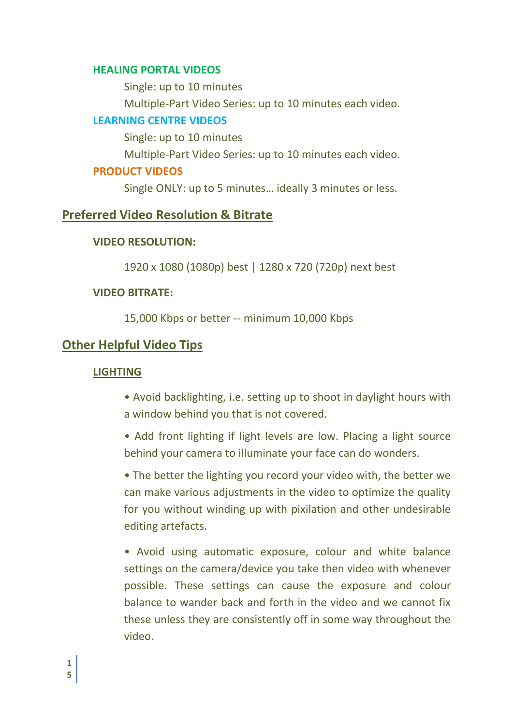#### **HEALING PORTAL VIDEOS**

Single: up to 10 minutes

Multiple-Part Video Series: up to 10 minutes each video.

## **LEARNING CENTRE VIDEOS**

Single: up to 10 minutes

Multiple-Part Video Series: up to 10 minutes each video.

## **PRODUCT VIDEOS**

Single ONLY: up to 5 minutes… ideally 3 minutes or less.

## **Preferred Video Resolution & Bitrate**

## **VIDEO RESOLUTION:**

1920 x 1080 (1080p) best | 1280 x 720 (720p) next best

## **VIDEO BITRATE:**

15,000 Kbps or better -- minimum 10,000 Kbps

## **Other Helpful Video Tips**

## **LIGHTING**

- Avoid backlighting, i.e. setting up to shoot in daylight hours with a window behind you that is not covered.
- Add front lighting if light levels are low. Placing a light source behind your camera to illuminate your face can do wonders.

• The better the lighting you record your video with, the better we can make various adjustments in the video to optimize the quality for you without winding up with pixilation and other undesirable editing artefacts.

• Avoid using automatic exposure, colour and white balance settings on the camera/device you take then video with whenever possible. These settings can cause the exposure and colour balance to wander back and forth in the video and we cannot fix these unless they are consistently off in some way throughout the video.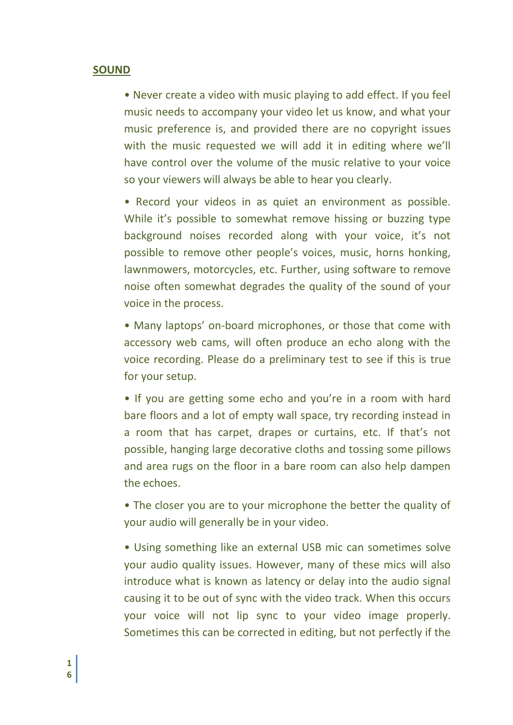#### **SOUND**

• Never create a video with music playing to add effect. If you feel music needs to accompany your video let us know, and what your music preference is, and provided there are no copyright issues with the music requested we will add it in editing where we'll have control over the volume of the music relative to your voice so your viewers will always be able to hear you clearly.

• Record your videos in as quiet an environment as possible. While it's possible to somewhat remove hissing or buzzing type background noises recorded along with your voice, it's not possible to remove other people's voices, music, horns honking, lawnmowers, motorcycles, etc. Further, using software to remove noise often somewhat degrades the quality of the sound of your voice in the process.

• Many laptops' on-board microphones, or those that come with accessory web cams, will often produce an echo along with the voice recording. Please do a preliminary test to see if this is true for your setup.

• If you are getting some echo and you're in a room with hard bare floors and a lot of empty wall space, try recording instead in a room that has carpet, drapes or curtains, etc. If that's not possible, hanging large decorative cloths and tossing some pillows and area rugs on the floor in a bare room can also help dampen the echoes.

• The closer you are to your microphone the better the quality of your audio will generally be in your video.

• Using something like an external USB mic can sometimes solve your audio quality issues. However, many of these mics will also introduce what is known as latency or delay into the audio signal causing it to be out of sync with the video track. When this occurs your voice will not lip sync to your video image properly. Sometimes this can be corrected in editing, but not perfectly if the